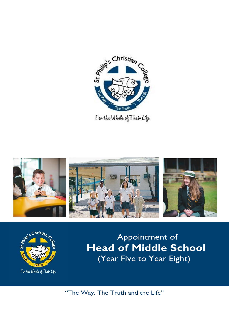

For the Whole of Their Life





Christi<sub>an</sub> C<sub>o</sub> **Christian** C<sub>o</sub> **Comment of Head of Middle School** (Year Five to Year Eight)

"The Way, The Truth and the Life"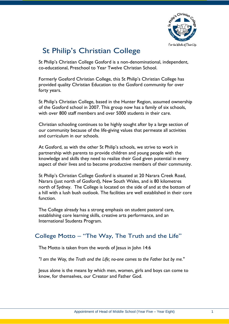

# St Philip's Christian College

St Philip's Christian College Gosford is a non-denominational, independent, co-educational, Preschool to Year Twelve Christian School.

Formerly Gosford Christian College, this St Philip's Christian College has provided quality Christian Education to the Gosford community for over forty years.

St Philip's Christian College, based in the Hunter Region, assumed ownership of the Gosford school in 2007. This group now has a family of six schools, with over 800 staff members and over 5000 students in their care.

Christian schooling continues to be highly sought after by a large section of our community because of the life-giving values that permeate all activities and curriculum in our schools.

At Gosford, as with the other St Philip's schools, we strive to work in partnership with parents to provide children and young people with the knowledge and skills they need to realize their God given potential in every aspect of their lives and to become productive members of their community.

St Philip's Christian College Gosford is situated at 20 Narara Creek Road, Narara (just north of Gosford), New South Wales, and is 80 kilometres north of Sydney. The College is located on the side of and at the bottom of a hill with a lush bush outlook. The facilities are well established in their core function.

The College already has a strong emphasis on student pastoral care, establishing core learning skills, creative arts performance, and an International Students Program.

## College Motto – "The Way, The Truth and the Life"

The Motto is taken from the words of Jesus in John 14:6

*"I am the Way, the Truth and the Life; no-one comes to the Father but by me."*

Jesus alone is the means by which men, women, girls and boys can come to know, for themselves, our Creator and Father God.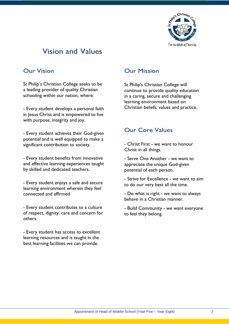

# Vision and Values

## Our Vision

St Philip's Christian College seeks to be a leading provider of quality Christian schooling within our nation, where:

- Every student develops a personal faith in Jesus Christ and is empowered to live with purpose, integrity and joy.

- Every student achieves their God-given potential and is well equipped to make a significant contribution to society.

- Every student benefits from innovative and effective learning experiences taught by skilled and dedicated teachers.

- Every student enjoys a safe and secure learning environment wherein they feel connected and affirmed.

- Every student contributes to a culture of respect, dignity, care and concern for others.

- Every student has access to excellent learning resources and is taught in the best learning facilities we can provide.

## Our Mission

St Philip's Christian College will continue to provide quality education in a caring, secure and challenging learning environment based on Christian beliefs, values and practice.

## Our Core Values

- Christ First - we want to honour Christ in all things.

- Serve One Another we want to appreciate the unique God-given potential of each person.
- Strive for Excellence we want to aim to do our very best all the time.

- Do what is right - we want to always behave in a Christian manner.

- Build Community - we want everyone to feel they belong.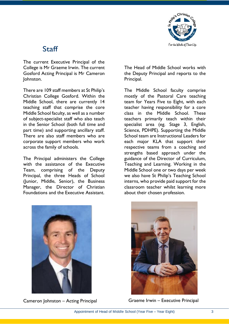

# Staff

The current Executive Principal of the College is Mr Graeme Irwin. The current Gosford Acting Principal is Mr Cameron Johnston.

There are 109 staff members at St Philip's Christian College Gosford. Within the Middle School, there are currently 14 teaching staff that comprise the core Middle School faculty, as well as a number of subject-specialist staff who also teach in the Senior School (both full time and part time) and supporting ancillary staff. There are also staff members who are corporate support members who work across the family of schools.

The Principal administers the College with the assistance of the Executive Team, comprising of the Deputy Principal, the three Heads of School (Junior, Middle, Senior), the Business Manager, the Director of Christian Foundations and the Executive Assistant.

The Head of Middle School works with the Deputy Principal and reports to the Principal.

The Middle School faculty comprise mostly of the Pastoral Care teaching team for Years Five to Eight, with each teacher having responsibility for a core class in the Middle School. These teachers primarily teach within their specialist area (eg. Stage 3, English, Science, PDHPE). Supporting the Middle School team are Instructional Leaders for each major KLA that support their respective teams from a coaching and strengths based approach under the guidance of the Director of Curriculum, Teaching and Learning. Working in the Middle School one or two days per week we also have St Philip's Teaching School interns, who provide paid support for the classroom teacher whilst learning more about their chosen profession.



Cameron Johnston – Acting Principal



Graeme Irwin – Executive Principal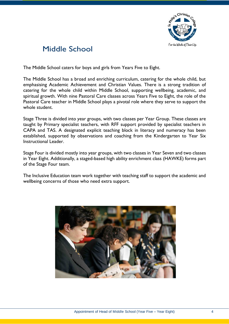

# Middle School

The Middle School caters for boys and girls from Years Five to Eight.

The Middle School has a broad and enriching curriculum, catering for the whole child, but emphasising Academic Achievement and Christian Values. There is a strong tradition of catering for the whole child within Middle School, supporting wellbeing, academic, and spiritual growth. With nine Pastoral Care classes across Years Five to Eight, the role of the Pastoral Care teacher in Middle School plays a pivotal role where they serve to support the whole student.

Stage Three is divided into year groups, with two classes per Year Group. These classes are taught by Primary specialist teachers, with RFF support provided by specialist teachers in CAPA and TAS. A designated explicit teaching block in literacy and numeracy has been established, supported by observations and coaching from the Kindergarten to Year Six Instructional Leader.

Stage Four is divided mostly into year groups, with two classes in Year Seven and two classes in Year Eight. Additionally, a staged-based high ability enrichment class (HAWKE) forms part of the Stage Four team.

The Inclusive Education team work together with teaching staff to support the academic and wellbeing concerns of those who need extra support.

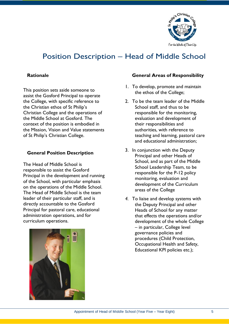

# Position Description – Head of Middle School

### **Rationale**

This position sets aside someone to assist the Gosford Principal to operate the College, with specific reference to the Christian ethos of St Philip's Christian College and the operations of the Middle School at Gosford. The context of the position is embodied in the Mission, Vision and Value statements of St Philip's Christian College.

### **General Position Description**

The Head of Middle School is responsible to assist the Gosford Principal in the development and running of the School, with particular emphasis on the operations of the Middle School. The Head of Middle School is the team leader of their particular staff, and is directly accountable to the Gosford Principal for pastoral care, educational administration operations, and for curriculum operations.



### **General Areas of Responsibility**

- 1. To develop, promote and maintain the ethos of the College;
- 2. To be the team leader of the Middle School staff, and thus to be responsible for the monitoring, evaluation and development of their responsibilities and authorities, with reference to teaching and learning, pastoral care and educational administration;
- 3. In conjunction with the Deputy Principal and other Heads of School, and as part of the Middle School Leadership Team, to be responsible for the P-12 policy monitoring, evaluation and development of the Curriculum areas of the College
- *4.* To liaise and develop systems with the Deputy Principal and other Heads of School for any matter that effects the operations and/or development of the whole College – in particular, College level governance policies and procedures (Child Protection, Occupational Health and Safety, Educational KPI policies etc.);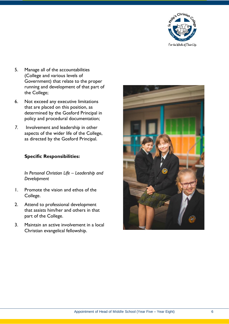

- 5. Manage all of the accountabilities (College and various levels of Government) that relate to the proper running and development of that part of the College;
- 6. Not exceed any executive limitations that are placed on this position, as determined by the Gosford Principal in policy and procedural documentation;
- *7.* Involvement and leadership in other aspects of the wider life of the College, as directed by the Gosford Principal.

### **Specific Responsibilities:**

*In Personal Christian Life – Leadership and Development*

- 1. Promote the vision and ethos of the College.
- 2. Attend to professional development that assists him/her and others in that part of the College.
- 3. Maintain an active involvement in a local Christian evangelical fellowship.

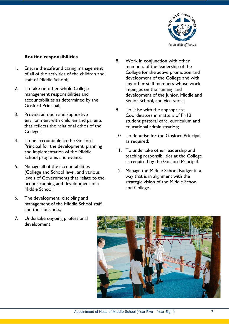

### **Routine responsibilities**

- 1. Ensure the safe and caring management of all of the activities of the children and staff of Middle School;
- 2. To take on other whole College management responsibilities and accountabilities as determined by the Gosford Principal;
- 3. Provide an open and supportive environment with children and parents that reflects the relational ethos of the College;
- 4. To be accountable to the Gosford Principal for the development, planning and implementation of the Middle School programs and events;
- 5. Manage all of the accountabilities (College and School level, and various levels of Government) that relate to the proper running and development of a Middle School;
- 6. The development, discipling and management of the Middle School staff, and their business;
- 7. Undertake ongoing professional development
- 8. Work in conjunction with other members of the leadership of the College for the active promotion and development of the College and with any other staff members whose work impinges on the running and development of the Junior, Middle and Senior School, and vice-versa;
- 9. To liaise with the appropriate Coordinators in matters of P -12 student pastoral care, curriculum and educational administration;
- 10. To deputise for the Gosford Principal as required;
- 11. To undertake other leadership and teaching responsibilities at the College as required by the Gosford Principal.
- 12. Manage the Middle School Budget in a way that is in alignment with the strategic vision of the Middle School and College.

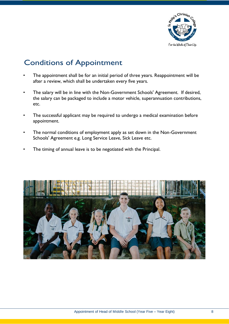

# Conditions of Appointment

- The appointment shall be for an initial period of three years. Reappointment will be after a review, which shall be undertaken every five years.
- The salary will be in line with the Non-Government Schools' Agreement. If desired, the salary can be packaged to include a motor vehicle, superannuation contributions, etc.
- The successful applicant may be required to undergo a medical examination before appointment.
- The normal conditions of employment apply as set down in the Non-Government Schools' Agreement e.g. Long Service Leave, Sick Leave etc.
- The timing of annual leave is to be negotiated with the Principal.

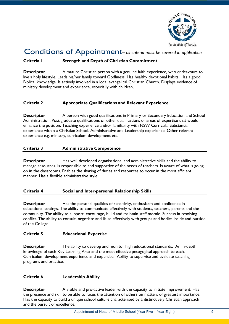

## Conditions of Appointment**–** *all criteria must be covered in application*

### **Criteria 1 Strength and Depth of Christian Commitment**

**Descriptor** A mature Christian person with a genuine faith experience, who endeavours to live a holy lifestyle. Leads his/her family toward Godliness. Has healthy devotional habits. Has a good Biblical knowledge. Is actively involved in a local evangelical Christian Church. Displays evidence of ministry development and experience, especially with children.

### **Criteria 2 Appropriate Qualifications and Relevant Experience**

**Descriptor** A person with good qualifications in Primary or Secondary Education and School Administration. Post graduate qualifications or other qualifications or areas of expertise that would enhance the position. Teaching experience and/or familiarity with NSW Curricula. Substantial experience within a Christian School. Administrative and Leadership experience. Other relevant experience e.g. ministry, curriculum development etc.

#### **Criteria 3 Administrative Competence**

**Descriptor** Has well developed organisational and administrative skills and the ability to manage resources. Is responsible to and supportive of the needs of teachers. Is aware of what is going on in the classrooms. Enables the sharing of duties and resources to occur in the most efficient manner. Has a flexible administrative style.

#### **Criteria 4 Social and Inter-personal Relationship Skills**

**Descriptor** Has the personal qualities of sensitivity, enthusiasm and confidence in educational settings. The ability to communicate effectively with students, teachers, parents and the community. The ability to support, encourage, build and maintain staff morale. Success in resolving conflict. The ability to consult, negotiate and liaise effectively with groups and bodies inside and outside of the College.

#### **Criteria 5 Educational Expertise**

**Descriptor** The ability to develop and monitor high educational standards. An in-depth knowledge of each Key Learning Area and the most effective pedagogical approach to each. Curriculum development experience and expertise. Ability to supervise and evaluate teaching programs and practice.

### **Criteria 6 Leadership Ability**

**Descriptor** A visible and pro-active leader with the capacity to initiate improvement. Has the presence and skill to be able to focus the attention of others on matters of greatest importance. Has the capacity to build a unique school culture characterised by a distinctively Christian approach and the pursuit of excellence.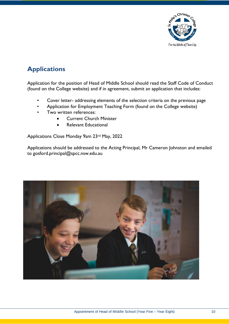

# **Applications**

Application for the position of Head of Middle School should read the Staff Code of Conduct (found on the College website) and if in agreement, submit an application that includes:

- Cover letter- addressing elements of the selection criteria on the previous page
- Application for Employment Teaching Form (found on the College website)
- Two written references:
	- Current Church Minister
	- Relevant Educational

Applications Close Monday 9am 23rd May, 2022

Applications should be addressed to the Acting Principal, Mr Cameron Johnston and emailed to gosford.principal@spcc.nsw.edu.au